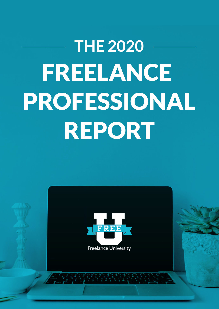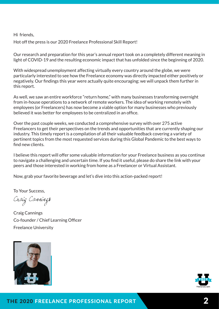Hi friends,

Hot off the press is our 2020 Freelance Professional Skill Report!

Our research and preparation for this year's annual report took on a completely different meaning in light of COVID-19 and the resulting economic impact that has unfolded since the beginning of 2020.

With widespread unemployment affecting virtually every country around the globe, we were particularly interested to see how the Freelance economy was directly impacted either positively or negatively. Our findings this year were actually quite encouraging; we will unpack them further in this report.

As well, we saw an entire workforce "return home," with many businesses transforming overnight from in-house operations to a network of remote workers. The idea of working remotely with employees (or Freelancers) has now become a viable option for many businesses who previously believed it was better for employees to be centralized in an office.

Over the past couple weeks, we conducted a comprehensive survey with over 275 active Freelancers to get their perspectives on the trends and opportunities that are currently shaping our industry. This timely report is a compilation of all their valuable feedback covering a variety of pertinent topics from the most requested services during this Global Pandemic to the best ways to find new clients.

I believe this report will offer some valuable information for your Freelance business as you continue to navigate a challenging and uncertain time. If you find it useful, please do share the link with your peers and those interested in working from home as a Freelancer or Virtual Assistant.

Now, grab your favorite beverage and let's dive into this action-packed report!

To Your Success,

Craig Canning**s** 

Craig Cannings Co-founder / Chief Learning Officer Freelance University



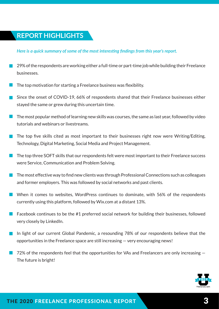# **REPORT HIGHLIGHTS**

#### *Here is a quick summary of some of the most interesting findings from this year's report.*

- 29% of the respondents are working either a full-time or part-time job while building their Freelance businesses.
- The top motivation for starting a Freelance business was flexibility.
- Since the onset of COVID-19, 66% of respondents shared that their Freelance businesses either stayed the same or grew during this uncertain time.
- The most popular method of learning new skills was courses, the same as last year, followed by video tutorials and webinars or livestreams.
- $\blacksquare$  The top five skills cited as most important to their businesses right now were Writing/Editing, Technology, Digital Marketing, Social Media and Project Management.
- The top three SOFT skills that our respondents felt were most important to their Freelance success were Service, Communication and Problem Solving.
- The most effective way to find new clients was through Professional Connections such as colleagues and former employers. This was followed by social networks and past clients.
- When it comes to websites, WordPress continues to dominate, with 56% of the respondents currently using this platform, followed by Wix.com at a distant 13%.
	- Facebook continues to be the #1 preferred social network for building their businesses, followed very closely by LinkedIn.
- In light of our current Global Pandemic, a resounding 78% of our respondents believe that the opportunities in the Freelance space are still increasing — very encouraging news!
- 72% of the respondents feel that the opportunities for VAs and Freelancers are only increasing The future is bright!

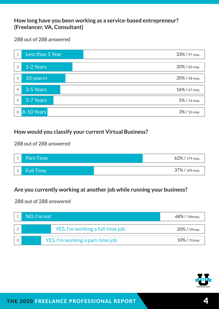#### **How long have you been working as a service-based entrepreneur? (Freelancer, VA, Consultant)**

288 out of 288 answered



## **How would you classify your current Virtual Business?**

288 out of 288 answered



# **Are you currently working at another job while running your business?**

| NO, I'm not                      |                                  | 68% / 198 resp.   |
|----------------------------------|----------------------------------|-------------------|
|                                  | YES, I'm working a full-time job | 20% / 59resp.     |
| YES, I'm working a part-time job |                                  | $10\%$ / 31 resp. |

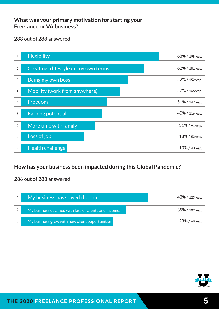#### **What was your primary motivation for starting your Freelance or VA business?**

288 out of 288 answered

| $\,1\,$          | Flexibility                          | 68% / 198resp. |
|------------------|--------------------------------------|----------------|
| $\sqrt{2}$       | Creating a lifestyle on my own terms | 62% / 181resp. |
| 3                | Being my own boss                    | 52% / 152resp. |
| $\overline{4}$   | Mobility (work from anywhere)        | 57% / 166resp. |
| 5                | Freedom                              | 51% / 147resp. |
| $\boldsymbol{6}$ | <b>Earning potential</b>             | 40% / 116resp. |
| $\overline{7}$   | More time with family                | 31% / 91resp.  |
| 8                | Loss of job                          | 18% / 52resp.  |
| 9                | Health challenge                     | 13% / 40resp.  |

# **How has your business been impacted during this Global Pandemic?**

| My business has stayed the same                       | $43\%$ / 123 resp. |
|-------------------------------------------------------|--------------------|
| My business declined with loss of clients and income. | $35\%$ / 102resp.  |
| My business grew with new client opportunities        | $23\%$ / 68 resp.  |

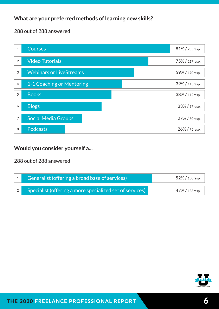## **What are your preferred methods of learning new skills?**

288 out of 288 answered



## **Would you consider yourself a...**

|  | Generalist (offering a broad base of services)           | $52\%$ / 150resp. |
|--|----------------------------------------------------------|-------------------|
|  | Specialist (offering a more specialized set of services) | 47%/138resp.      |

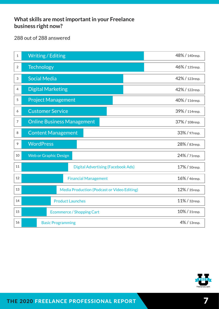## **What skills are most important in your Freelance business right now?**

| $\,1\,$                   | <b>Writing / Editing</b>                                     | 48% / 140resp. |
|---------------------------|--------------------------------------------------------------|----------------|
| $\overline{2}$            | <b>Technology</b>                                            | 46% / 135resp. |
| $\ensuremath{\mathsf{3}}$ | <b>Social Media</b>                                          | 42% / 123resp. |
| $\overline{4}$            | <b>Digital Marketing</b>                                     | 42% / 122resp. |
| 5                         | <b>Project Management</b>                                    | 40% / 116resp. |
| 6                         | <b>Customer Service</b>                                      | 39% / 114resp. |
| $\overline{7}$            | <b>Online Business Management</b>                            | 37% / 108resp. |
| 8                         | <b>Content Management</b>                                    | 33% / 97resp.  |
| 9                         | <b>WordPress</b>                                             | 28% / 83resp.  |
| $10\,$                    | <b>Web or Graphic Design</b>                                 | 24% / 71resp.  |
| 11                        | <b>Digital Advertising (Facebook Ads)</b>                    | 17% / 50resp.  |
| 12                        | <b>Financial Management</b><br>16% / 46resp.                 |                |
| 13                        | Media Production (Podcast or Video Editing)<br>12% / 35resp. |                |
| 14                        | 11% / 32resp.<br><b>Product Launches</b>                     |                |
| 15                        | 10% / 31resp.<br><b>Ecommerce / Shopping Cart</b>            |                |
| 16                        | 4% / 13resp.<br><b>Basic Programming</b>                     |                |

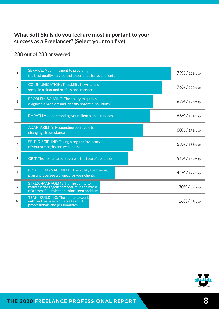#### **What Soft Skills do you feel are most important to your success as a Freelancer? (Select your top five)**

288 out of 288 answered

| $\mathbf{1}$   | <b>SERVICE: A commitment to providing</b><br>the best quality service and experience for your clients                          |  | 79% / 228 resp. |
|----------------|--------------------------------------------------------------------------------------------------------------------------------|--|-----------------|
| $\overline{2}$ | COMMUNICATION: The ability to write and<br>speak in a clear and professional manner                                            |  | 76% / 220resp.  |
| 3              | PROBLEM-SOLVING: The ability to quickly<br>diagnose a problem and identify potential solutions                                 |  | 67%/195resp.    |
| 4              | <b>EMPATHY: Understanding your client's unique needs</b>                                                                       |  | 66%/191resp.    |
| 5              | ADAPTABILITY: Responding positively to<br>changing circumstances                                                               |  | 60% / 173resp.  |
| 6              | SELF-DISCIPLINE: Taking a regular inventory<br>of your strengths and weaknesses                                                |  | 53% / 155resp.  |
| 7              | GRIT: The ability to persevere in the face of obstacles                                                                        |  | 51% / 147resp.  |
| 8              | PROJECT MANAGEMENT: The ability to observe,<br>plan and oversee a project for your clients                                     |  | 44% / 127resp.  |
| 9              | STRESS-MANAGEMENT: The ability to<br>maintainand regain composure in the midst<br>of a stressful project or unforeseen problem |  | 30% / 89resp.   |
| 10             | TEAM-BUILDING: The ability to work<br>with and manage a diverse team of<br>professionals and personalities                     |  | 16% / 47resp.   |

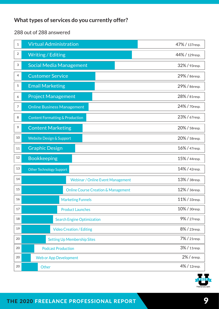# **What types of services do you currently offer?**

| 1  | <b>Virtual Administration</b>                      | 47% / 137resp. |
|----|----------------------------------------------------|----------------|
| 2  | <b>Writing / Editing</b>                           | 44% / 129resp. |
| 3  | <b>Social Media Management</b>                     | 32% / 93resp.  |
| 4  | <b>Customer Service</b>                            | 29% / 86resp.  |
| 5  | <b>Email Marketing</b>                             | 29% / 86resp.  |
| 6  | <b>Project Management</b>                          | 28% / 81resp.  |
| 7  | <b>Online Business Management</b>                  | 24% / 70resp.  |
| 8  | <b>Content Formatting &amp; Production</b>         | 23% / 67resp.  |
| 9  | <b>Content Marketing</b>                           | 20% / 58resp.  |
| 10 | <b>Website Design &amp; Support</b>                | 20% / 58resp.  |
| 11 | <b>Graphic Design</b>                              | 16% / 47resp.  |
| 12 | <b>Bookkeeping</b><br>15% / 44resp.                |                |
| 13 | <b>Other Technology Support</b>                    | 14% / 42resp.  |
| 14 | <b>Webinar / Online Event Management</b>           | 13% / 38resp.  |
| 15 | <b>Online Course Creation &amp; Management</b>     | 12% / 36resp.  |
| 16 | 11% / 33resp.<br><b>Marketing Funnels</b>          |                |
| 17 | 10% / 30resp.<br><b>Product Launches</b>           |                |
| 18 | 9% / 27resp.<br><b>Search Engine Optimization</b>  |                |
| 19 | <b>Video Creation / Editing</b><br>8% / 23resp.    |                |
| 20 | 7% / 21resp.<br><b>Setting Up Membership Sites</b> |                |
| 20 | <b>Podcast Production</b>                          | 3% / 11resp.   |
| 20 | <b>Web or App Development</b>                      | 2% / 6resp.    |
| 20 | 4% / 12resp.<br>Other                              |                |

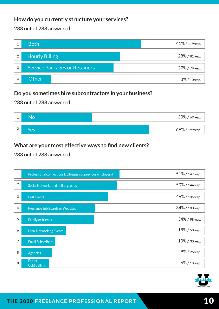## **How do you currently structure your services?**

#### 288 out of 288 answered

|                | <b>Both</b>                   | 41% / 119resp. |
|----------------|-------------------------------|----------------|
| $\overline{2}$ | <b>Hourly Billing</b>         | 28% / 81resp.  |
| 3              | Service Packages or Retainers | 27% / 78resp.  |
| 4              | Other                         | 3% / 10resp.   |

#### **Do you sometimes hire subcontractors in your business?**

288 out of 288 answered

|   | <b>No</b> | 30% / 69resp.  |
|---|-----------|----------------|
|   |           |                |
| ∠ | Yes       | 69% / 199resp. |

### **What are your most effective ways to find new clients?**

| $\mathbf 1$ | Professional connections (colleagues or previous employers) | 51% / 147resp. |
|-------------|-------------------------------------------------------------|----------------|
| $\sqrt{2}$  | Social Networks and online groups                           | 50% / 144resp. |
| 3           | Past clients                                                | 46% / 135resp. |
| 4           | <b>Freelance Job Boards or Websites</b>                     | 34% / 100resp. |
| 5           | <b>Family or friends</b>                                    | 34% / 98resp.  |
| 6           | <b>Local Networking Events</b>                              | 18% / 53resp.  |
| 7           | <b>Email Subscribers</b>                                    | 10% / 30resp.  |
| 8           | <b>Agencies</b>                                             | 9% / 26resp.   |
| 8           | <b>Direct</b><br><b>Cold Calling</b>                        | 6% / 18resp.   |

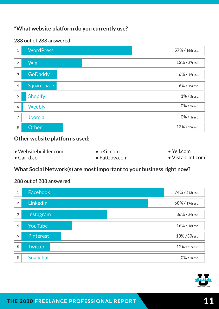#### **\*What website platform do you currently use?**

#### 288 out of 288 answered



#### **Other website platforms used:**

| $\bullet$ Websitebuilder.com | $\bullet$ uKit.com   | $\bullet$ Yell.com |
|------------------------------|----------------------|--------------------|
| $\bullet$ Carrd.co           | $\bullet$ FatCow.com | • Vistaprint.com   |

#### **What Social Network(s) are most important to your business right now?**

| $\mathbf{1}$   | Facebook         | 74% / 213resp. |
|----------------|------------------|----------------|
| $\overline{2}$ | LinkedIn         | 68% / 196resp. |
| 3              | Instagram        | 36% / 39resp.  |
| $\overline{4}$ | YouTube          | 16% / 48resp.  |
| 5              | <b>Pinterest</b> | 13%/39resp.    |
| 5              | <b>Twitter</b>   | 12% / 37resp.  |
| 5              | Snapchat         | 0% / 1resp.    |

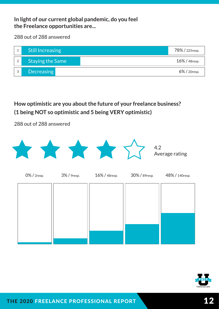## **In light of our current global pandemic, do you feel the Freelance opportunities are...**

288 out of 288 answered



**How optimistic are you about the future of your freelance business? (1 being NOT so optimistic and 5 being VERY optimistic)**



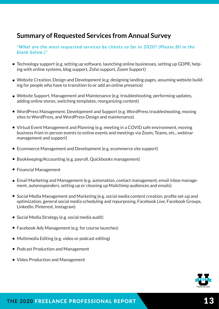# **Summary of Requested Services from Annual Survey**

*\*What are the most requested services by clients so far in 2020? (Please fill in the blank below.)\**

- Technology support (e.g. setting up software, launching online businesses, setting up GDPR, helping with online systems, blog support, Zoho support, Zoom Support)
- Website Creation, Design and Development (e.g. designing landing pages, assuming website building for people who have to transition to or add an online presence)
- Website Support, Management and Maintenance (e.g. troubleshooting, performing updates, adding online stores, switching templates, reorganizing content)
- WordPress Management, Development and Support (e.g. WordPress troubleshooting, moving sites to WordPress, and WordPress Design and maintenance)
- Virtual Event Management and Planning (e.g. meeting in a COVID safe environment, moving business from in-person events to online events and meetings via Zoom, Teams, etc., webinar management and support)
- Ecommerce Management and Development (e.g. ecommerce site support)
- Bookkeeping/Accounting (e.g. payroll, Quickbooks management)
- Financial Management
- Email Marketing and Management (e.g. automation, contact management, email inbox management, autoresponders, setting up or cleaning up Mailchimp audiences and emails)
- $\bullet$  Social Media Management and Marketing (e.g. social media content creation, profile set-up and optimization, general social media scheduling and repurposing, Facebook Live, Facebook Groups, LinkedIn, Pinterest, Instagram)
- Social Media Strategy (e.g. social media audit)
- Facebook Ads Management (e.g. for course launches)
- Multimedia Editing (e.g. video or podcast editing)
- Podcast Production and Management
- Video Production and Management

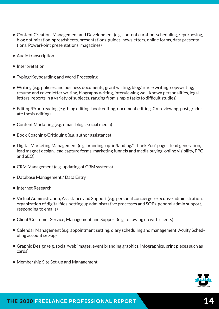- Content Creation, Management and Development (e.g. content curation, scheduling, repurposing, blog optimization, spreadsheets, presentations, guides, newsletters, online forms, data presentations, PowerPoint presentations, magazines)
- Audio transcription
- Interpretation
- Typing/Keyboarding and Word Processing
- Writing (e.g. policies and business documents, grant writing, blog/article writing, copywriting, resume and cover letter writing, biography writing, interviewing well-known personalities, legal letters, reports in a variety of subjects, ranging from simple tasks to difficult studies)
- Editing/Proofreading (e.g. blog editing, book editing, document editing, CV reviewing, post graduate thesis editing)
- Content Marketing (e.g. email, blogs, social media)
- Book Coaching/Critiquing (e.g. author assistance)
- Digital Marketing Management (e.g. branding, optin/landing/"Thank You" pages, lead generation, lead magnet design, lead capture forms, marketing funnels and media buying, online visibility, PPC and SEO)
- CRM Management (e.g. updating of CRM systems)
- Database Management / Data Entry
- Internet Research
- Virtual Administration, Assistance and Support (e.g. personal concierge, executive administration, organization of digital files, setting up administrative processes and SOPs, general admin support, responding to emails)
- Client/Customer Service, Management and Support (e.g. following up with clients)
- Calendar Management (e.g. appointment setting, diary scheduling and management, Acuity Scheduling account set-up)
- Graphic Design (e.g. social/web images, event branding graphics, infographics, print pieces such as cards)
- Membership Site Set-up and Management

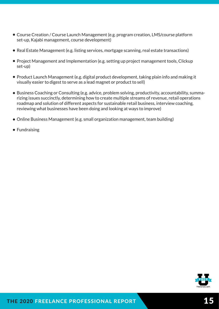- Course Creation / Course Launch Management (e.g. program creation, LMS/course platform set-up, Kajabi management, course development)
- Real Estate Management (e.g. listing services, mortgage scanning, real estate transactions)
- Project Management and Implementation (e.g. setting up project management tools, Clickup set-up)
- Product Launch Management (e.g. digital product development, taking plain info and making it visually easier to digest to serve as a lead magnet or product to sell)
- Business Coaching or Consulting (e.g. advice, problem solving, productivity, accountability, summarizing issues succinctly, determining how to create multiple streams of revenue, retail operations roadmap and solution of different aspects for sustainable retail business, interview coaching, reviewing what businesses have been doing and looking at ways to improve)
- Online Business Management (e.g. small organization management, team building)
- Fundraising

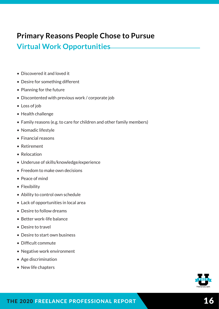# **Primary Reasons People Chose to Pursue**

# **Virtual Work Opportunities**

- Discovered it and loved it
- Desire for something different
- Planning for the future
- Discontented with previous work / corporate job
- Loss of job
- Health challenge
- Family reasons (e.g. to care for children and other family members)
- Nomadic lifestyle
- Financial reasons
- Retirement
- Relocation
- Underuse of skills/knowledge/experience
- Freedom to make own decisions
- Peace of mind
- Flexibility
- Ability to control own schedule
- Lack of opportunities in local area
- Desire to follow dreams
- Better work-life balance
- Desire to travel
- Desire to start own business
- Difficult commute
- Negative work environment
- Age discrimination
- New life chapters